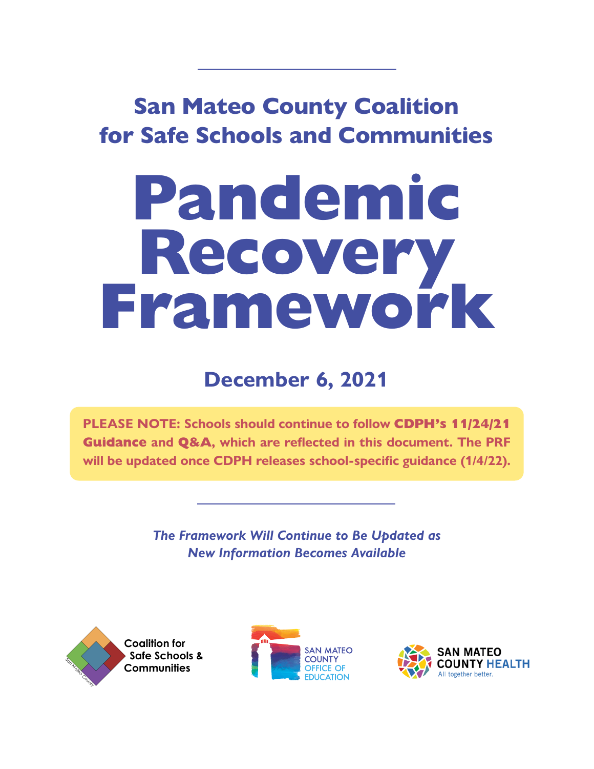# San Mateo County Coalition for Safe Schools and Communities

# **Pandemic Recovery Framework**

# **December 6, 2021**

**PLEASE NOTE: Schools should continue to follow [CDPH's 11/24/21](https://www.cdph.ca.gov/Programs/CID/DCDC/Pages/COVID-19/K-12-Guidance-2021-22-School-Year.aspx)  [Guidance](https://www.cdph.ca.gov/Programs/CID/DCDC/Pages/COVID-19/K-12-Guidance-2021-22-School-Year.aspx) and [Q&A](https://www.cdph.ca.gov/Programs/CID/DCDC/Pages/COVID-19/Schools-FAQ.aspx), which are reflected in this document. The PRF will be updated once CDPH releases school-specific guidance (1/4/22).**

> *The Framework Will Continue to Be Updated as New Information Becomes Available*





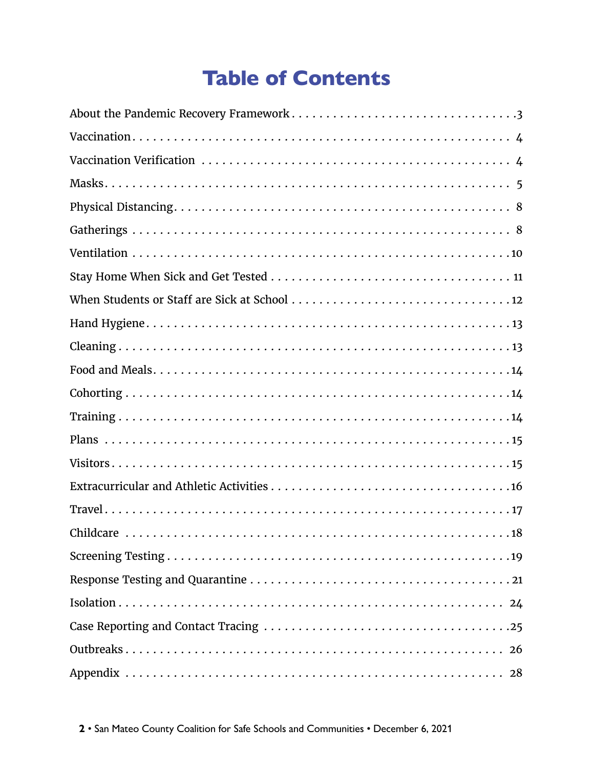# **Table of Contents**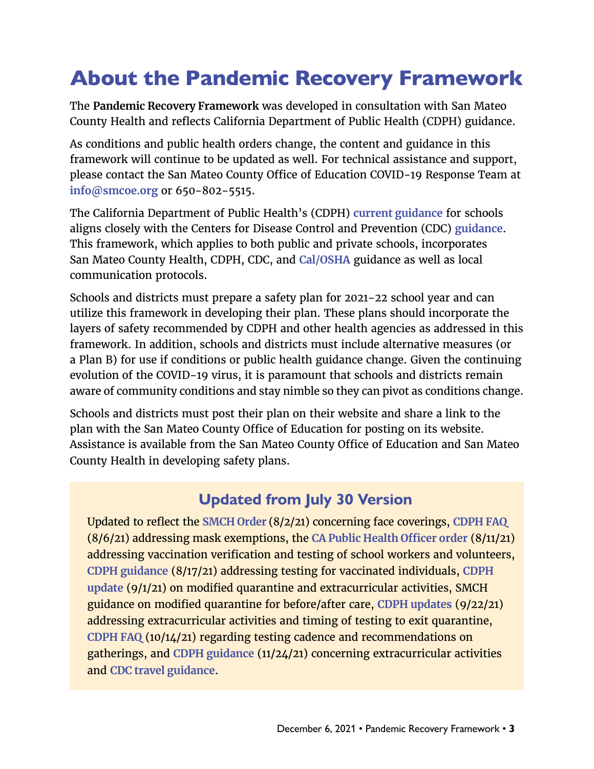### <span id="page-2-0"></span>About the Pandemic Recovery Framework

The **Pandemic Recovery Framework** was developed in consultation with San Mateo County Health and reflects California Department of Public Health (CDPH) guidance.

As conditions and public health orders change, the content and guidance in this framework will continue to be updated as well. For technical assistance and support, please contact the San Mateo County Office of Education COVID-19 Response Team at **[info@smcoe.org](mailto:info%40smcoe.org?subject=)** or 650-802-5515.

The California Department of Public Health's (CDPH) **[current guidance](https://www.cdph.ca.gov/Programs/CID/DCDC/Pages/COVID-19/K-12-Guidance-2021-22-School-Year.aspx)** for schools aligns closely with the Centers for Disease Control and Prevention (CDC) **[guidance](https://www.cdc.gov/coronavirus/2019-ncov/community/schools-childcare/k-12-guidance.html)**. This framework, which applies to both public and private schools, incorporates San Mateo County Health, CDPH, CDC, and **[Cal/OSHA](https://www.dir.ca.gov/dosh/coronavirus/Guidance-by-Industry.html)** guidance as well as local communication protocols.

Schools and districts must prepare a safety plan for 2021-22 school year and can utilize this framework in developing their plan. These plans should incorporate the layers of safety recommended by CDPH and other health agencies as addressed in this framework. In addition, schools and districts must include alternative measures (or a Plan B) for use if conditions or public health guidance change. Given the continuing evolution of the COVID-19 virus, it is paramount that schools and districts remain aware of community conditions and stay nimble so they can pivot as conditions change.

Schools and districts must post their plan on their website and share a link to the plan with the San Mateo County Office of Education for posting on its website. Assistance is available from the San Mateo County Office of Education and San Mateo County Health in developing safety plans.

### **Updated from July 30 Version**

Updated to reflect the **[SMCH Order](https://www.smchealth.org/sites/main/files/file-attachments/ho_order_c19-12_face_covering_20210802.pdf?1627927645)** (8/2/21) concerning face coverings, **[CDPH FAQ](https://www.cdph.ca.gov/Programs/CID/DCDC/Pages/COVID-19/Schools-FAQ.aspx)** (8/6/21) addressing mask exemptions, the **CA [Public Health Officer order](https://www.cdph.ca.gov/Programs/CID/DCDC/Pages/COVID-19/Order-of-the-State-Public-Health-Officer-Vaccine-Verification-for-Workers-in-Schools.aspx)** (8/11/21) addressing vaccination verification and testing of school workers and volunteers, **[CDPH guidance](https://www.cdph.ca.gov/Programs/CID/DCDC/Pages/COVID-19/Guidance-on-Isolation-and-Quarantine-for-COVID-19-Contact-Tracing.aspx)** (8/17/21) addressing testing for vaccinated individuals, **[CDPH](https://www.cdph.ca.gov/Programs/CID/DCDC/Pages/COVID-19/K-12-Guidance-2021-22-School-Year.aspx)  [update](https://www.cdph.ca.gov/Programs/CID/DCDC/Pages/COVID-19/K-12-Guidance-2021-22-School-Year.aspx)** (9/1/21) on modified quarantine and extracurricular activities, SMCH guidance on modified quarantine for before/after care, **[CDPH updates](https://www.cdph.ca.gov/Programs/CID/DCDC/Pages/COVID-19/Schools-FAQ.aspx)** (9/22/21) addressing extracurricular activities and timing of testing to exit quarantine, **[CDPH FAQ](https://www.cdph.ca.gov/Programs/CID/DCDC/Pages/COVID-19/Schools-FAQ.aspx)** (10/14/21) regarding testing cadence and recommendations on gatherings, and **[CDPH guidance](https://www.cdph.ca.gov/Programs/CID/DCDC/Pages/COVID-19/K-12-Guidance-2021-22-School-Year.aspx)** (11/24/21) concerning extracurricular activities and **[CDC travel guidance](https://www.cdph.ca.gov/Programs/CID/DCDC/CDPH%20Document%20Library/COVID-19/CA-is-Open-Travel-Guidelines.pdf)**.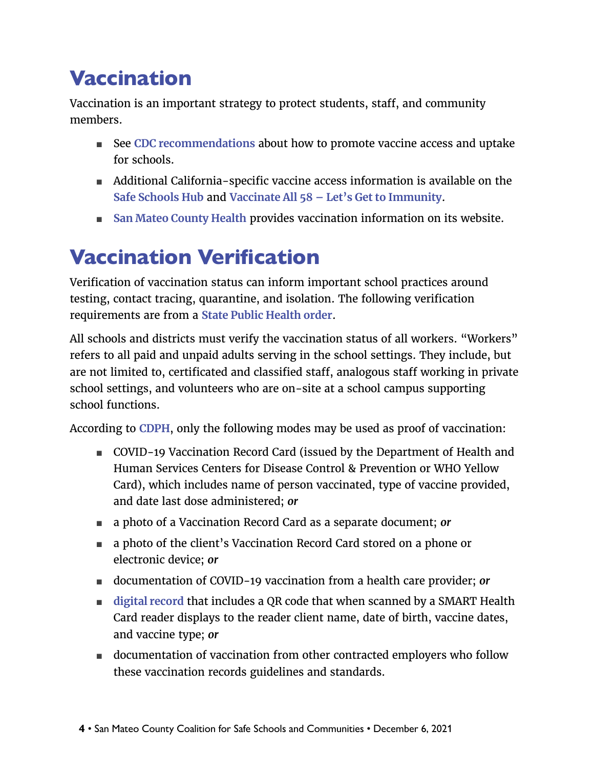### <span id="page-3-0"></span>**Vaccination**

Vaccination is an important strategy to protect students, staff, and community members.

- See [CDC recommendations](https://www.cdc.gov/coronavirus/2019-ncov/community/schools-childcare/k-12-guidance.html#anchor_1625661984621) about how to promote vaccine access and uptake for schools.
- Additional California-specific vaccine access information is available on the **[Safe Schools Hub](https://schools.covid19.ca.gov/)** and **[Vaccinate All 58 – Let's Get to Immunity](https://www.vaccinateall58.com/)**.
- **[San Mateo County Health](https://www.smchealth.org/covid-19-vaccination-program-overview) provides vaccination information on its website.**

# <span id="page-3-1"></span>Vaccination Verification

Verification of vaccination status can inform important school practices around testing, contact tracing, quarantine, and isolation. The following verification requirements are from a **[State Public Health order](https://www.cdph.ca.gov/Programs/CID/DCDC/Pages/COVID-19/Order-of-the-State-Public-Health-Officer-Vaccine-Verification-for-Workers-in-Schools.aspx)**.

All schools and districts must verify the vaccination status of all workers. "Workers" refers to all paid and unpaid adults serving in the school settings. They include, but are not limited to, certificated and classified staff, analogous staff working in private school settings, and volunteers who are on-site at a school campus supporting school functions.

According to **[CDPH](https://www.cdph.ca.gov/Programs/CID/DCDC/Pages/COVID-19/Vaccine-Record-Guidelines-Standards.aspx)**, only the following modes may be used as proof of vaccination:

- COVID-19 Vaccination Record Card (issued by the Department of Health and Human Services Centers for Disease Control & Prevention or WHO Yellow Card), which includes name of person vaccinated, type of vaccine provided, and date last dose administered; *or*
- a photo of a Vaccination Record Card as a separate document; *or*
- a photo of the client's Vaccination Record Card stored on a phone or electronic device; *or*
- documentation of COVID-19 vaccination from a health care provider; *or*
- [digital record](https://myvaccinerecord.cdph.ca.gov/) that includes a QR code that when scanned by a SMART Health Card reader displays to the reader client name, date of birth, vaccine dates, and vaccine type; *or*
- documentation of vaccination from other contracted employers who follow these vaccination records guidelines and standards.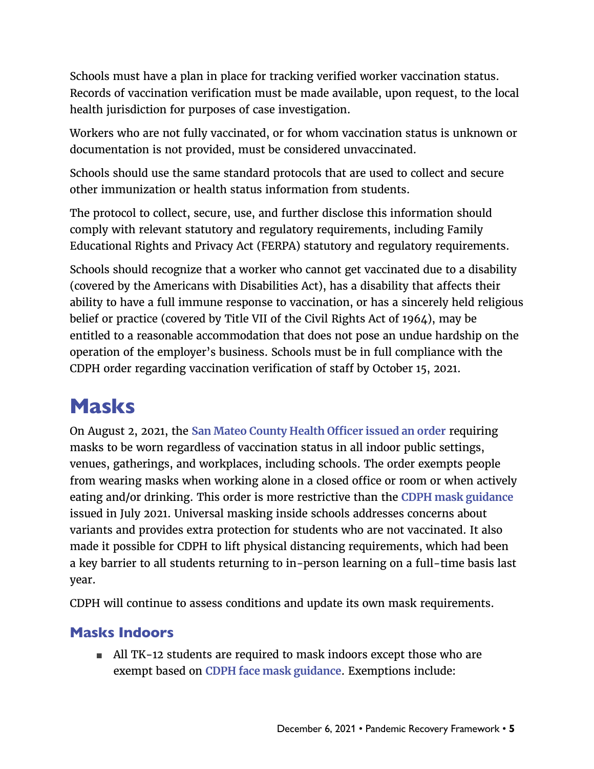<span id="page-4-0"></span>Schools must have a plan in place for tracking verified worker vaccination status. Records of vaccination verification must be made available, upon request, to the local health jurisdiction for purposes of case investigation.

Workers who are not fully vaccinated, or for whom vaccination status is unknown or documentation is not provided, must be considered unvaccinated.

Schools should use the same standard protocols that are used to collect and secure other immunization or health status information from students.

The protocol to collect, secure, use, and further disclose this information should comply with relevant statutory and regulatory requirements, including Family Educational Rights and Privacy Act (FERPA) statutory and regulatory requirements.

Schools should recognize that a worker who cannot get vaccinated due to a disability (covered by the Americans with Disabilities Act), has a disability that affects their ability to have a full immune response to vaccination, or has a sincerely held religious belief or practice (covered by Title VII of the Civil Rights Act of 1964), may be entitled to a reasonable accommodation that does not pose an undue hardship on the operation of the employer's business. Schools must be in full compliance with the CDPH order regarding vaccination verification of staff by October 15, 2021.

# Masks

On August 2, 2021, the **[San Mateo County Health Officer issued an order](https://www.smchealth.org/sites/main/files/file-attachments/ho_order_c19-12_face_covering_20210802.pdf?1627927645)** requiring masks to be worn regardless of vaccination status in all indoor public settings, venues, gatherings, and workplaces, including schools. The order exempts people from wearing masks when working alone in a closed office or room or when actively eating and/or drinking. This order is more restrictive than the **[CDPH mask guidance](https://www.cdph.ca.gov/Programs/CID/DCDC/Pages/COVID-19/guidance-for-face-coverings.aspx)** issued in July 2021. Universal masking inside schools addresses concerns about variants and provides extra protection for students who are not vaccinated. It also made it possible for CDPH to lift physical distancing requirements, which had been a key barrier to all students returning to in-person learning on a full-time basis last year.

CDPH will continue to assess conditions and update its own mask requirements.

#### Masks Indoors

■ All TK-12 students are required to mask indoors except those who are exempt based on **[CDPH face mask guidance](https://www.cdph.ca.gov/Programs/CID/DCDC/Pages/COVID-19/guidance-for-face-coverings.aspx)**. Exemptions include: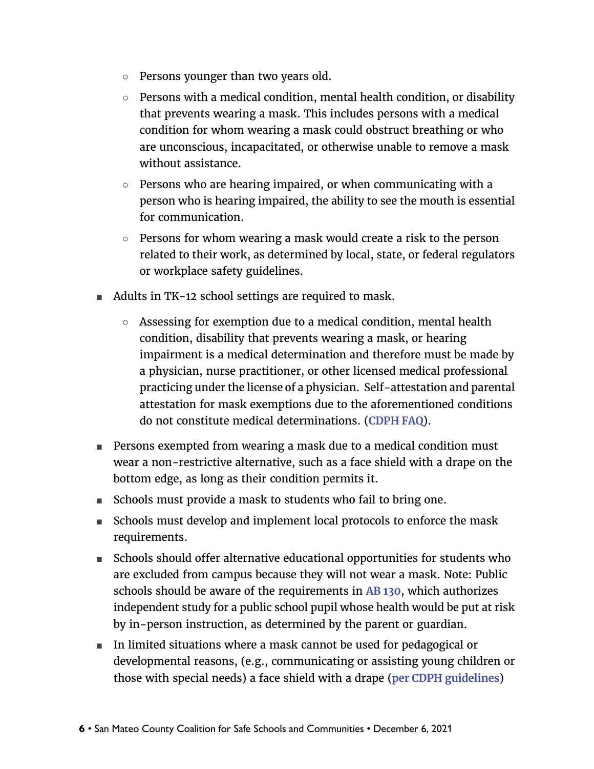- Persons younger than two years old.
- $\circ$  Persons with a medical condition, mental health condition, or disability that prevents wearing a mask. This includes persons with a medical condition for whom wearing a mask could obstruct breathing or who are unconscious, incapacitated, or otherwise unable to remove a mask without assistance.
- $\circ$  Persons who are hearing impaired, or when communicating with a person who is hearing impaired, the ability to see the mouth is essential for communication.
- $\circ$  Persons for whom wearing a mask would create a risk to the person related to their work, as determined by local, state, or federal regulators or workplace safety guidelines.
- Adults in TK-12 school settings are required to mask.
	- Assessing for exemption due to a medical condition, mental health condition, disability that prevents wearing a mask, or hearing impairment is a medical determination and therefore must be made by a physician, nurse practitioner, or other licensed medical professional practicing under the license of a physician. Self-attestation and parental attestation for mask exemptions due to the aforementioned conditions do not constitute medical determinations. (**[CDPH FAQ](https://www.cdph.ca.gov/Programs/CID/DCDC/Pages/COVID-19/Schools-FAQ.aspx)**).
- Persons exempted from wearing a mask due to a medical condition must wear a non-restrictive alternative, such as a face shield with a drape on the bottom edge, as long as their condition permits it.
- Schools must provide a mask to students who fail to bring one.
- Schools must develop and implement local protocols to enforce the mask requirements.
- Schools should offer alternative educational opportunities for students who are excluded from campus because they will not wear a mask. Note: Public schools should be aware of the requirements in **[AB 130](https://leginfo.legislature.ca.gov/faces/billTextClient.xhtml?bill_id=202120220AB130)**, which authorizes independent study for a public school pupil whose health would be put at risk by in-person instruction, as determined by the parent or guardian.
- In limited situations where a mask cannot be used for pedagogical or developmental reasons, (e.g., communicating or assisting young children or those with special needs) a face shield with a drape (**[per CDPH guidelines](https://www.cdph.ca.gov/Programs/CID/DCDC/CDPH%20Document%20Library/COVID-19/faceshield_handout.pdf)**)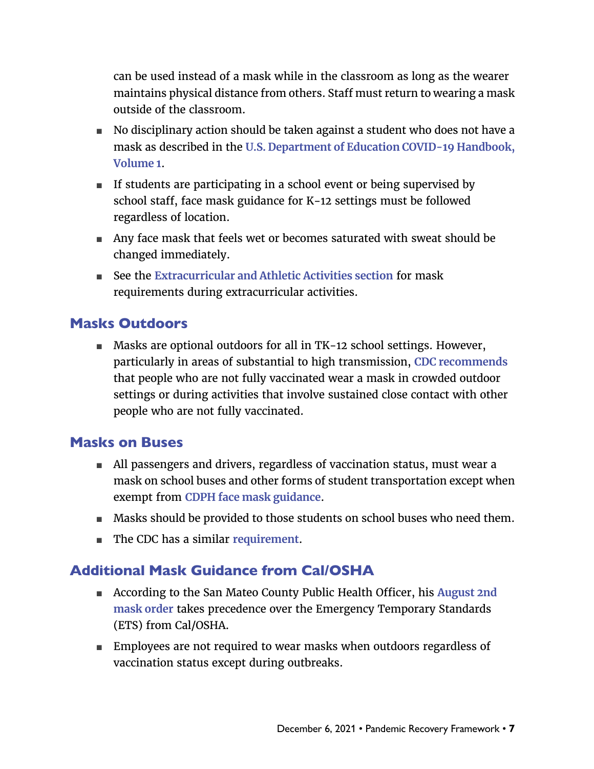can be used instead of a mask while in the classroom as long as the wearer maintains physical distance from others. Staff must return to wearing a mask outside of the classroom.

- No disciplinary action should be taken against a student who does not have a mask as described in the **[U.S. Department of Education COVID-19 Handbook,](https://www.ed.gov/news/press-releases/us-department-education-covid-19-handbook-volume-1-strategies-safely-reopening-elementary-and-secondary-schools)  [Volume 1](https://www.ed.gov/news/press-releases/us-department-education-covid-19-handbook-volume-1-strategies-safely-reopening-elementary-and-secondary-schools)**.
- If students are participating in a school event or being supervised by school staff, face mask guidance for K-12 settings must be followed regardless of location.
- Any face mask that feels wet or becomes saturated with sweat should be changed immediately.
- See the [Extracurricular and Athletic Activities section](#page-15-1) for mask requirements during extracurricular activities.

#### Masks Outdoors

■ Masks are optional outdoors for all in TK-12 school settings. However, particularly in areas of substantial to high transmission, **[CDC recommends](https://www.cdc.gov/coronavirus/2019-ncov/community/schools-childcare/k-12-guidance.html)** that people who are not fully vaccinated wear a mask in crowded outdoor settings or during activities that involve sustained close contact with other people who are not fully vaccinated.

#### Masks on Buses

- All passengers and drivers, regardless of vaccination status, must wear a mask on school buses and other forms of student transportation except when exempt from **[CDPH face mask guidance](https://www.cdph.ca.gov/Programs/CID/DCDC/Pages/COVID-19/guidance-for-face-coverings.aspx)**.
- Masks should be provided to those students on school buses who need them.
- The CDC has a similar **[requirement](https://www.cdc.gov/quarantine/masks/mask-travel-guidance.html)**.

#### Additional Mask Guidance from Cal/OSHA

- According to the San Mateo County Public Health Officer, his August 2nd **[mask order](https://www.smchealth.org/sites/main/files/file-attachments/ho_order_c19-12_face_covering_20210802.pdf?1627927645)** takes precedence over the Emergency Temporary Standards (ETS) from Cal/OSHA.
- Employees are not required to wear masks when outdoors regardless of vaccination status except during outbreaks.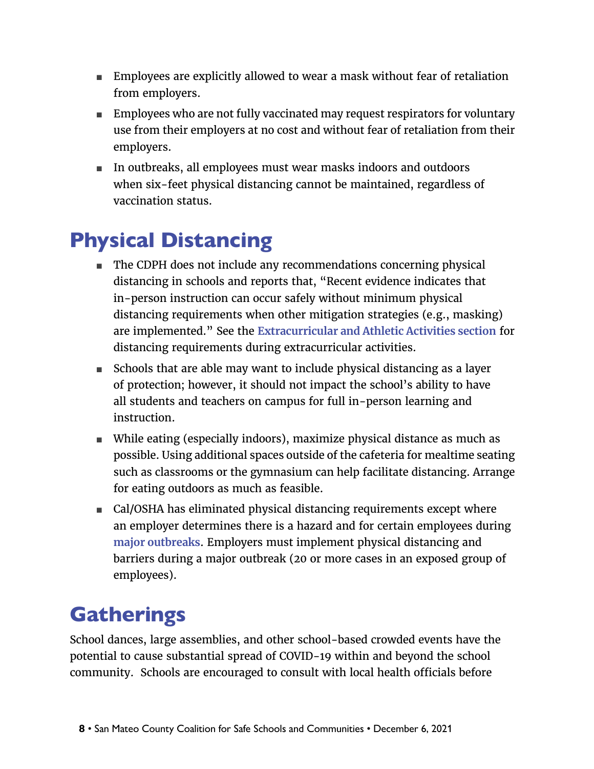- <span id="page-7-0"></span>■ Employees are explicitly allowed to wear a mask without fear of retaliation from employers.
- Employees who are not fully vaccinated may request respirators for voluntary use from their employers at no cost and without fear of retaliation from their employers.
- In outbreaks, all employees must wear masks indoors and outdoors when six-feet physical distancing cannot be maintained, regardless of vaccination status.

# Physical Distancing

- The CDPH does not include any recommendations concerning physical distancing in schools and reports that, "Recent evidence indicates that in-person instruction can occur safely without minimum physical distancing requirements when other mitigation strategies (e.g., masking) are implemented." See the **[Extracurricular and Athletic Activities section](#page-15-1)** for distancing requirements during extracurricular activities.
- Schools that are able may want to include physical distancing as a layer of protection; however, it should not impact the school's ability to have all students and teachers on campus for full in-person learning and instruction.
- While eating (especially indoors), maximize physical distance as much as possible. Using additional spaces outside of the cafeteria for mealtime seating such as classrooms or the gymnasium can help facilitate distancing. Arrange for eating outdoors as much as feasible.
- Cal/OSHA has eliminated physical distancing requirements except where an employer determines there is a hazard and for certain employees during **[major outbreaks](https://www.dir.ca.gov/dosh/coronavirus/COVID19FAQs.html#outbreaks)**. Employers must implement physical distancing and barriers during a major outbreak (20 or more cases in an exposed group of employees).

# **Gatherings**

School dances, large assemblies, and other school-based crowded events have the potential to cause substantial spread of COVID-19 within and beyond the school community. Schools are encouraged to consult with local health officials before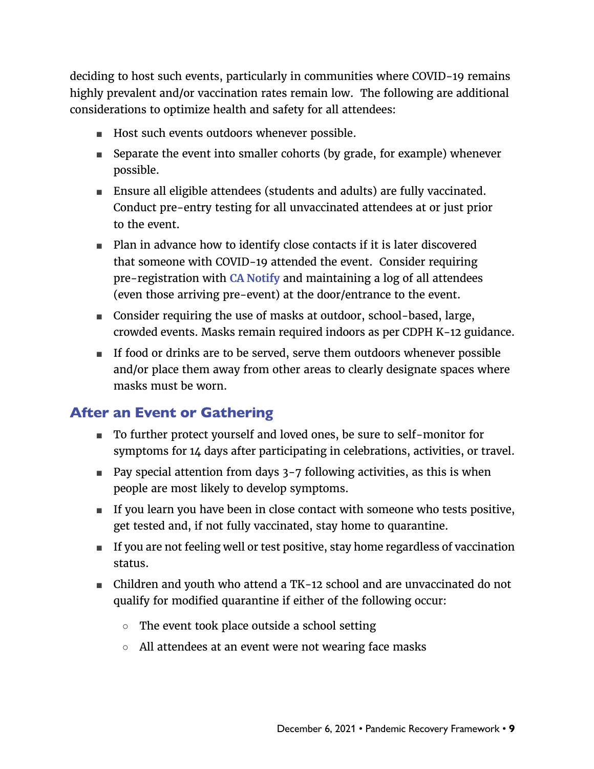deciding to host such events, particularly in communities where COVID-19 remains highly prevalent and/or vaccination rates remain low. The following are additional considerations to optimize health and safety for all attendees:

- Host such events outdoors whenever possible.
- Separate the event into smaller cohorts (by grade, for example) whenever possible.
- Ensure all eligible attendees (students and adults) are fully vaccinated. Conduct pre-entry testing for all unvaccinated attendees at or just prior to the event.
- Plan in advance how to identify close contacts if it is later discovered that someone with COVID-19 attended the event. Consider requiring pre-registration with **[CA Notify](https://canotify.ca.gov/)** and maintaining a log of all attendees (even those arriving pre-event) at the door/entrance to the event.
- Consider requiring the use of masks at outdoor, school-based, large, crowded events. Masks remain required indoors as per CDPH K-12 guidance.
- If food or drinks are to be served, serve them outdoors whenever possible and/or place them away from other areas to clearly designate spaces where masks must be worn.

#### After an Event or Gathering

- To further protect yourself and loved ones, be sure to self-monitor for symptoms for 14 days after participating in celebrations, activities, or travel.
- Pay special attention from days 3-7 following activities, as this is when people are most likely to develop symptoms.
- If you learn you have been in close contact with someone who tests positive, get tested and, if not fully vaccinated, stay home to quarantine.
- If you are not feeling well or test positive, stay home regardless of vaccination status.
- Children and youth who attend a TK-12 school and are unvaccinated do not qualify for modified quarantine if either of the following occur:
	- The event took place outside a school setting
	- All attendees at an event were not wearing face masks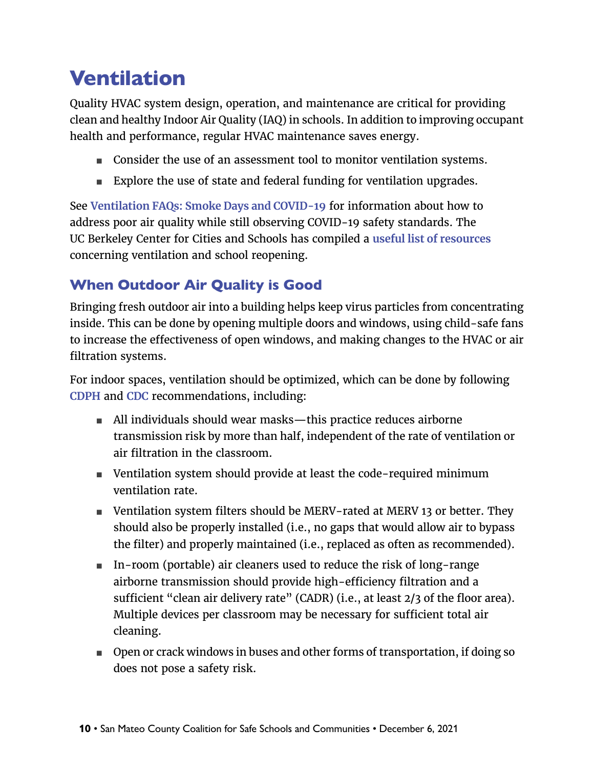### <span id="page-9-0"></span>Ventilation

Quality HVAC system design, operation, and maintenance are critical for providing clean and healthy Indoor Air Quality (IAQ) in schools. In addition to improving occupant health and performance, regular HVAC maintenance saves energy.

- Consider the use of an assessment tool to monitor ventilation systems.
- Explore the use of state and federal funding for ventilation upgrades.

See **[Ventilation FAQs: Smoke Days and COVID-19](https://www.smcoe.org/assets/files/For%20Schools_FIL/Safe%20and%20Supportive%20Schools_FIL/Air_Quality_Resources/Ventilation_FAQs.pdf)** for information about how to address poor air quality while still observing COVID-19 safety standards. The UC Berkeley Center for Cities and Schools has compiled a **[useful list of resources](https://citiesandschools.berkeley.edu/index.php/covid-school-facilities)** concerning ventilation and school reopening.

### When Outdoor Air Quality is Good

Bringing fresh outdoor air into a building helps keep virus particles from concentrating inside. This can be done by opening multiple doors and windows, using child-safe fans to increase the effectiveness of open windows, and making changes to the HVAC or air filtration systems.

For indoor spaces, ventilation should be optimized, which can be done by following **[CDPH](https://www.cdph.ca.gov/Programs/CCDPHP/DEODC/EHLB/IAQ/Pages/Airborne-Diseases.aspx)** and **[CDC](https://www.cdc.gov/coronavirus/2019-ncov/community/schools-childcare/ventilation.html)** recommendations, including:

- All individuals should wear masks—this practice reduces airborne transmission risk by more than half, independent of the rate of ventilation or air filtration in the classroom.
- Ventilation system should provide at least the code-required minimum ventilation rate.
- Ventilation system filters should be MERV-rated at MERV 13 or better. They should also be properly installed (i.e., no gaps that would allow air to bypass the filter) and properly maintained (i.e., replaced as often as recommended).
- In-room (portable) air cleaners used to reduce the risk of long-range airborne transmission should provide high-efficiency filtration and a sufficient "clean air delivery rate" (CADR) (i.e., at least 2/3 of the floor area). Multiple devices per classroom may be necessary for sufficient total air cleaning.
- Open or crack windows in buses and other forms of transportation, if doing so does not pose a safety risk.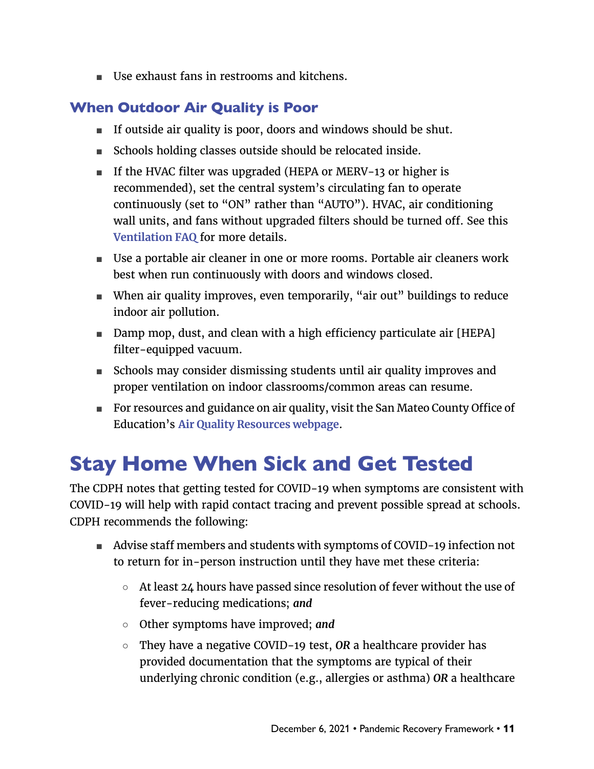<span id="page-10-0"></span>■ Use exhaust fans in restrooms and kitchens.

### When Outdoor Air Quality is Poor

- If outside air quality is poor, doors and windows should be shut.
- Schools holding classes outside should be relocated inside.
- If the HVAC filter was upgraded (HEPA or MERV-13 or higher is recommended), set the central system's circulating fan to operate continuously (set to "ON" rather than "AUTO"). HVAC, air conditioning wall units, and fans without upgraded filters should be turned off. See this **[Ventilation FAQ](https://www.smcoe.org/assets/files/For%20Schools_FIL/Safe%20and%20Supportive%20Schools_FIL/Air_Quality_Resources/Ventilation_FAQs.pdf)** for more details.
- Use a portable air cleaner in one or more rooms. Portable air cleaners work best when run continuously with doors and windows closed.
- When air quality improves, even temporarily, "air out" buildings to reduce indoor air pollution.
- Damp mop, dust, and clean with a high efficiency particulate air [HEPA] filter-equipped vacuum.
- Schools may consider dismissing students until air quality improves and proper ventilation on indoor classrooms/common areas can resume.
- For resources and guidance on air quality, visit the San Mateo County Office of Education's **[Air Quality Resources webpage](https://www.smcoe.org/for-schools/safe-and-supportive-schools/air-quality-resources.html)**.

# Stay Home When Sick and Get Tested

The CDPH notes that getting tested for COVID-19 when symptoms are consistent with COVID-19 will help with rapid contact tracing and prevent possible spread at schools. CDPH recommends the following:

- Advise staff members and students with symptoms of COVID-19 infection not to return for in-person instruction until they have met these criteria:
	- $\circ$  At least 24 hours have passed since resolution of fever without the use of fever-reducing medications; *and*
	- Other symptoms have improved; *and*
	- They have a negative COVID-19 test, *OR* a healthcare provider has provided documentation that the symptoms are typical of their underlying chronic condition (e.g., allergies or asthma) *OR* a healthcare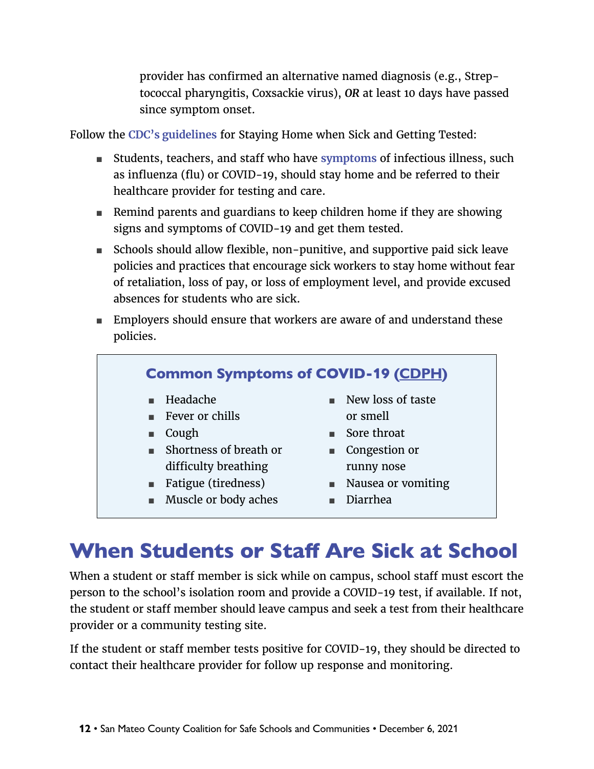provider has confirmed an alternative named diagnosis (e.g., Streptococcal pharyngitis, Coxsackie virus), *OR* at least 10 days have passed since symptom onset.

<span id="page-11-0"></span>Follow the **[CDC's guidelines](https://www.cdc.gov/coronavirus/2019-ncov/community/schools-childcare/k-12-guidance.html)** for Staying Home when Sick and Getting Tested:

- Stud[e](https://www.cdc.gov/coronavirus/2019-ncov/symptoms-testing/symptoms.html)nts, teachers, and staff who have **[symptoms](https://www.cdc.gov/coronavirus/2019-ncov/symptoms-testing/symptoms.html)** of infectious illness, such as influenza (flu) or COVID-19, should stay home and be referred to their healthcare provider for testing and care.
- Remind parents and guardians to keep children home if they are showing signs and symptoms of COVID-19 and get them tested.
- Schools should allow flexible, non-punitive, and supportive paid sick leave policies and practices that encourage sick workers to stay home without fear of retaliation, loss of pay, or loss of employment level, and provide excused absences for students who are sick.
- Employers should ensure that workers are aware of and understand these policies.



### When Students or Staff Are Sick at School

When a student or staff member is sick while on campus, school staff must escort the person to the school's isolation room and provide a COVID-19 test, if available. If not, the student or staff member should leave campus and seek a test from their healthcare provider or a community testing site.

If the student or staff member tests positive for COVID-19, they should be directed to contact their healthcare provider for follow up response and monitoring.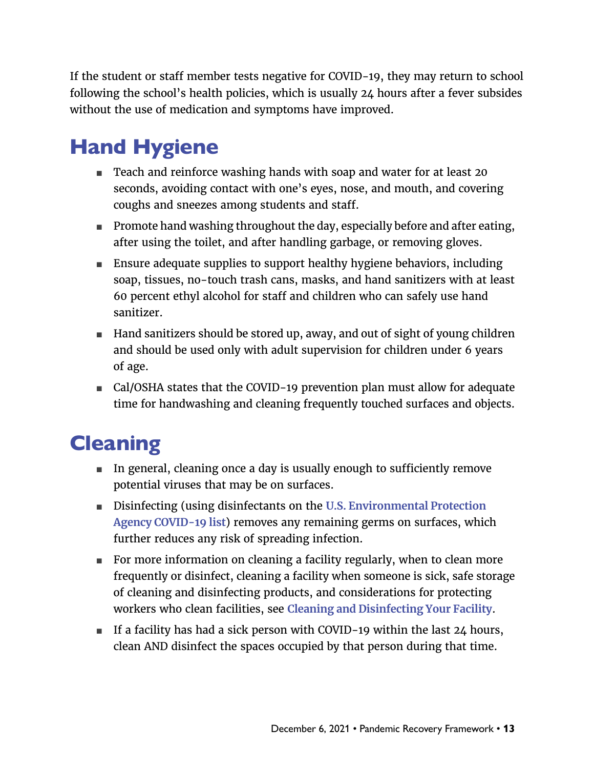<span id="page-12-0"></span>If the student or staff member tests negative for COVID-19, they may return to school following the school's health policies, which is usually 24 hours after a fever subsides without the use of medication and symptoms have improved.

# Hand Hygiene

- Teach and reinforce washing hands with soap and water for at least 20 seconds, avoiding contact with one's eyes, nose, and mouth, and covering coughs and sneezes among students and staff.
- Promote hand washing throughout the day, especially before and after eating, after using the toilet, and after handling garbage, or removing gloves.
- Ensure adequate supplies to support healthy hygiene behaviors, including soap, tissues, no-touch trash cans, masks, and hand sanitizers with at least 60 percent ethyl alcohol for staff and children who can safely use hand sanitizer.
- Hand sanitizers should be stored up, away, and out of sight of young children and should be used only with adult supervision for children under 6 years of age.
- Cal/OSHA states that the COVID-19 prevention plan must allow for adequate time for handwashing and cleaning frequently touched surfaces and objects.

### **Cleaning**

- In general, cleaning once a day is usually enough to sufficiently remove potential viruses that may be on surfaces.
- Disinfecting (using disinfectants on the **U.S. Environmental Protection [Agency COVID-19 list](https://www.epa.gov/coronavirus/about-list-n-disinfectants-coronavirus-covid-19-0)**) removes any remaining germs on surfaces, which further reduces any risk of spreading infection.
- For more information on cleaning a facility regularly, when to clean more frequently or disinfect, cleaning a facility when someone is sick, safe storage of cleaning and disinfecting products, and considerations for protecting workers who clean facilities, see **[Cleaning and Disinfecting Your Facility](https://www.cdc.gov/coronavirus/2019-ncov/community/disinfecting-building-facility.html)**.
- If a facility has had a sick person with COVID-19 within the last 24 hours, clean AND disinfect the spaces occupied by that person during that time.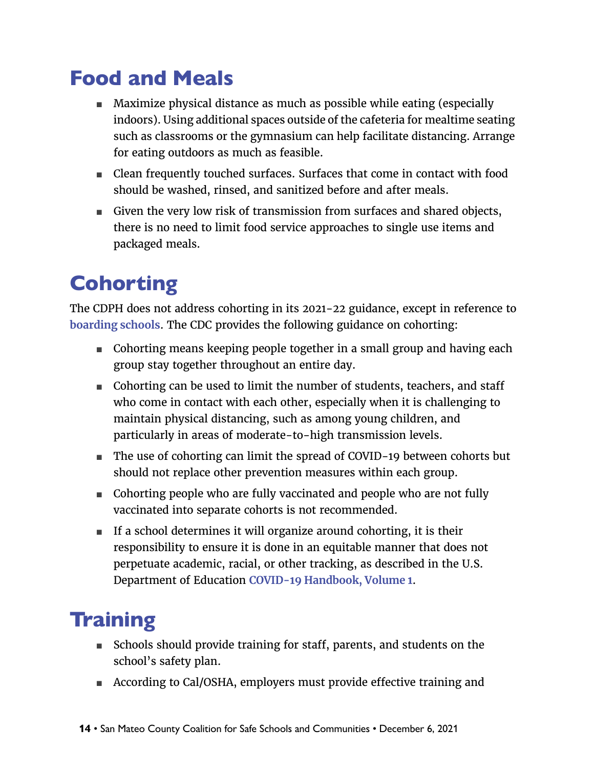### <span id="page-13-0"></span>Food and Meals

- Maximize physical distance as much as possible while eating (especially indoors). Using additional spaces outside of the cafeteria for mealtime seating such as classrooms or the gymnasium can help facilitate distancing. Arrange for eating outdoors as much as feasible.
- Clean frequently touched surfaces. Surfaces that come in contact with food should be washed, rinsed, and sanitized before and after meals.
- Given the very low risk of transmission from surfaces and shared objects, there is no need to limit food service approaches to single use items and packaged meals.

# **Cohorting**

The CDPH does not address cohorting in its 2021-22 guidance, except in reference to **[boarding schools](https://www.cdph.ca.gov/Programs/CID/DCDC/Pages/COVID-19/K-12-Guidance-2021-22-School-Year.aspx)**. The CDC provides the following guidance on cohorting:

- Cohorting means keeping people together in a small group and having each group stay together throughout an entire day.
- Cohorting can be used to limit the number of students, teachers, and staff who come in contact with each other, especially when it is challenging to maintain physical distancing, such as among young children, and particularly in areas of moderate-to-high transmission levels.
- The use of cohorting can limit the spread of COVID-19 between cohorts but should not replace other prevention measures within each group.
- Cohorting people who are fully vaccinated and people who are not fully vaccinated into separate cohorts is not recommended.
- If a school determines it will organize around cohorting, it is their responsibility to ensure it is done in an equitable manner that does not perpetuate academic, racial, or other tracking, as described in the U.S. Department of Education **[COVID-19 Handbook, Volume 1](https://www.ed.gov/news/press-releases/us-department-education-covid-19-handbook-volume-1-strategies-safely-reopening-elementary-and-secondary-schools)**.

### **Training**

- Schools should provide training for staff, parents, and students on the school's safety plan.
- According to Cal/OSHA, employers must provide effective training and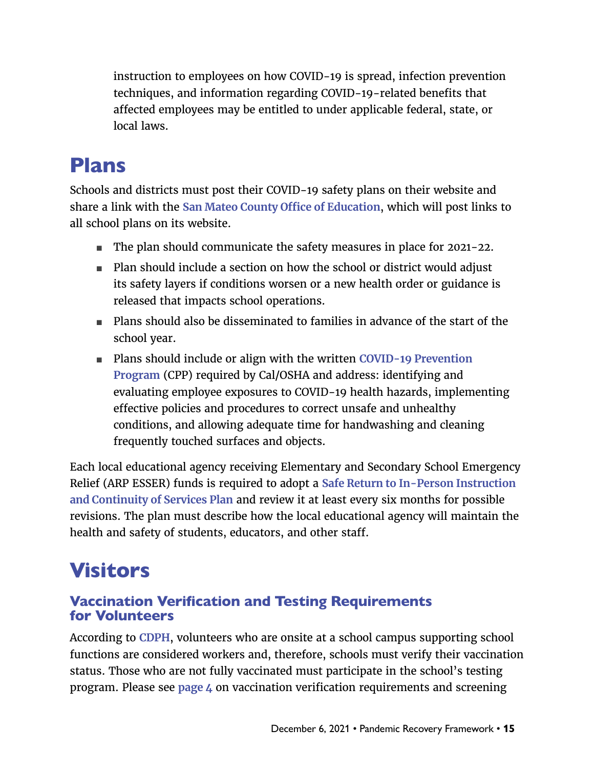<span id="page-14-0"></span>instruction to employees on how COVID-19 is spread, infection prevention techniques, and information regarding COVID-19-related benefits that affected employees may be entitled to under applicable federal, state, or local laws.

### Plans

Schools and districts must post their COVID-19 safety plans on their website and share a link with the **[San Mateo County Office of Education](mailto:info@smcoe.org)**, which will post links to all school plans on its website.

- The plan should communicate the safety measures in place for 2021-22.
- Plan should include a section on how the school or district would adjust its safety layers if conditions worsen or a new health order or guidance is released that impacts school operations.
- Plans should also be disseminated to families in advance of the start of the school year.
- Plans should include or align with the written **COVID-19 Prevention [Program](https://www.dir.ca.gov/dosh/dosh_publications/CPP.doc)** (CPP) required by Cal/OSHA and address: identifying and evaluating employee exposures to COVID-19 health hazards, implementing effective policies and procedures to correct unsafe and unhealthy conditions, and allowing adequate time for handwashing and cleaning frequently touched surfaces and objects.

Each local educational agency receiving Elementary and Secondary School Emergency Relief (ARP ESSER) funds is required to adopt a **[Safe Return to In-Person Instruction](https://www.cde.ca.gov/fg/cr/documents/returnplantemplate.pdf)  [and Continuity of Services Plan](https://www.cde.ca.gov/fg/cr/documents/returnplantemplate.pdf)** and review it at least every six months for possible revisions. The plan must describe how the local educational agency will maintain the health and safety of students, educators, and other staff.

# Visitors

#### Vaccination Verification and Testing Requirements for Volunteers

According to **[CDPH](https://www.cdph.ca.gov/Programs/CID/DCDC/Pages/COVID-19/Order-of-the-State-Public-Health-Officer-Vaccine-Verification-for-Workers-in-Schools.aspx)**, volunteers who are onsite at a school campus supporting school functions are considered workers and, therefore, schools must verify their vaccination status. Those who are not fully vaccinated must participate in the school's testing program. Please see **[page 4](#page-3-1)** on vaccination verification requirements and screening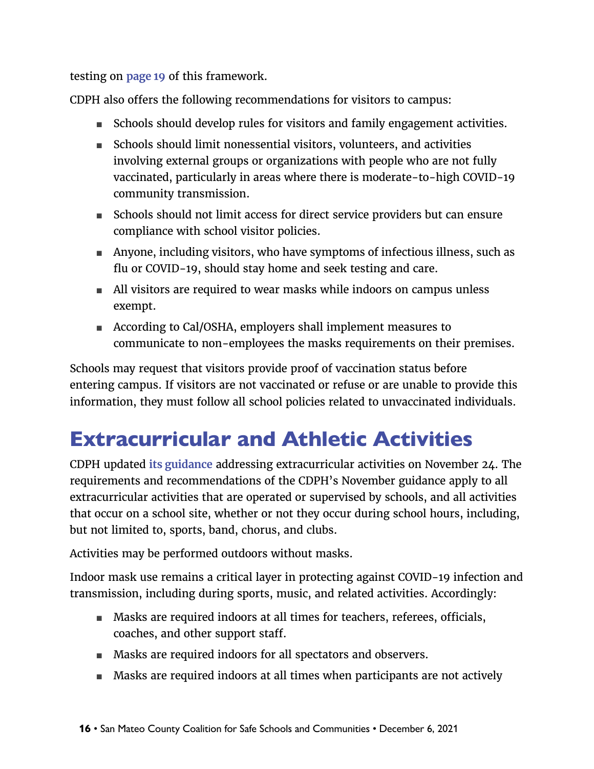<span id="page-15-0"></span>testing on **[page 1](#page-18-1)9** of this framework.

CDPH also offers the following recommendations for visitors to campus:

- Schools should develop rules for visitors and family engagement activities.
- Schools should limit nonessential visitors, volunteers, and activities involving external groups or organizations with people who are not fully vaccinated, particularly in areas where there is moderate-to-high COVID-19 community transmission.
- Schools should not limit access for direct service providers but can ensure compliance with school visitor policies.
- Anyone, including visitors, who have symptoms of infectious illness, such as flu or COVID-19, should stay home and seek testing and care.
- All visitors are required to wear masks while indoors on campus unless exempt.
- According to Cal/OSHA, employers shall implement measures to communicate to non-employees the masks requirements on their premises.

Schools may request that visitors provide proof of vaccination status before entering campus. If visitors are not vaccinated or refuse or are unable to provide this information, they must follow all school policies related to unvaccinated individuals.

# <span id="page-15-1"></span>Extracurricular and Athletic Activities

CDPH updated **[its guidance](https://www.cdph.ca.gov/Programs/CID/DCDC/Pages/COVID-19/K-12-Guidance-2021-22-School-Year.aspx)** addressing extracurricular activities on November 24. The requirements and recommendations of the CDPH's November guidance apply to all extracurricular activities that are operated or supervised by schools, and all activities that occur on a school site, whether or not they occur during school hours, including, but not limited to, sports, band, chorus, and clubs.

Activities may be performed outdoors without masks.

Indoor mask use remains a critical layer in protecting against COVID-19 infection and transmission, including during sports, music, and related activities. Accordingly:

- Masks are required indoors at all times for teachers, referees, officials, coaches, and other support staff.
- Masks are required indoors for all spectators and observers.
- Masks are required indoors at all times when participants are not actively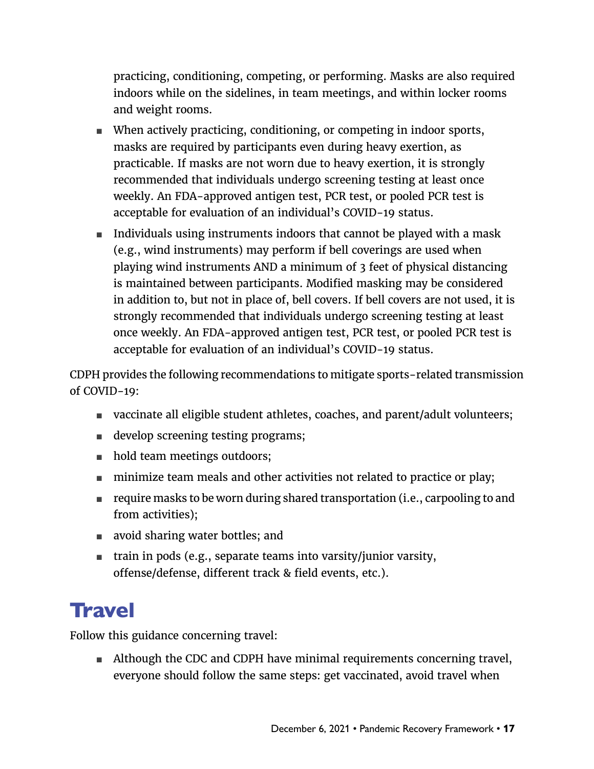<span id="page-16-0"></span>practicing, conditioning, competing, or performing. Masks are also required indoors while on the sidelines, in team meetings, and within locker rooms and weight rooms.

- When actively practicing, conditioning, or competing in indoor sports, masks are required by participants even during heavy exertion, as practicable. If masks are not worn due to heavy exertion, it is strongly recommended that individuals undergo screening testing at least once weekly. An FDA-approved antigen test, PCR test, or pooled PCR test is acceptable for evaluation of an individual's COVID-19 status.
- Individuals using instruments indoors that cannot be played with a mask (e.g., wind instruments) may perform if bell coverings are used when playing wind instruments AND a minimum of 3 feet of physical distancing is maintained between participants. Modified masking may be considered in addition to, but not in place of, bell covers. If bell covers are not used, it is strongly recommended that individuals undergo screening testing at least once weekly. An FDA-approved antigen test, PCR test, or pooled PCR test is acceptable for evaluation of an individual's COVID-19 status.

CDPH provides the following recommendations to mitigate sports-related transmission of COVID-19:

- vaccinate all eligible student athletes, coaches, and parent/adult volunteers;
- develop screening testing programs;
- hold team meetings outdoors;
- minimize team meals and other activities not related to practice or play;
- require masks to be worn during shared transportation (i.e., carpooling to and from activities);
- avoid sharing water bottles; and
- train in pods (e.g., separate teams into varsity/junior varsity, offense/defense, different track & field events, etc.).

### **Travel**

Follow this guidance concerning travel:

■ Although the CDC and CDPH have minimal requirements concerning travel, everyone should follow the same steps: get vaccinated, avoid travel when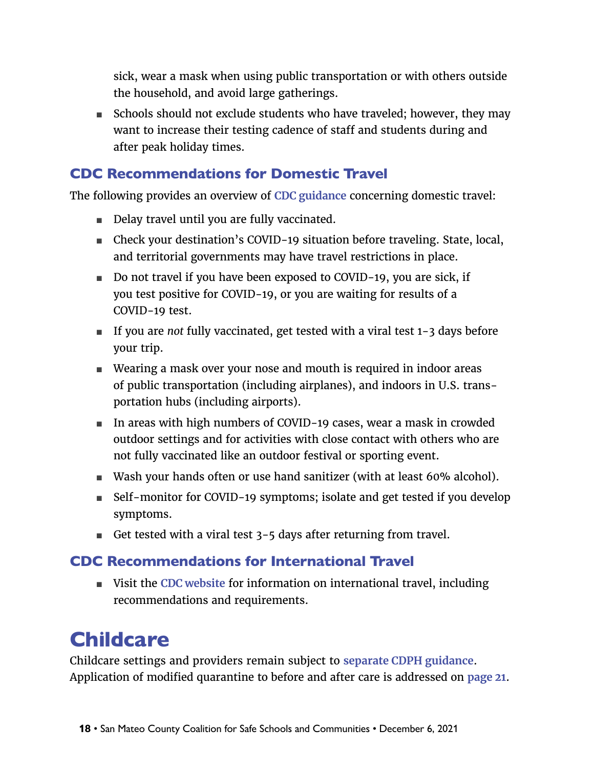<span id="page-17-0"></span>sick, wear a mask when using public transportation or with others outside the household, and avoid large gatherings.

■ Schools should not exclude students who have traveled; however, they may want to increase their testing cadence of staff and students during and after peak holiday times.

#### CDC Recommendations for Domestic Travel

The following provides an overview of **[CDC guidance](https://www.cdc.gov/coronavirus/2019-ncov/travelers/travel-during-covid19.html)** concerning domestic travel:

- Delay travel until you are fully vaccinated.
- Check your destination's COVID-19 situation before traveling. State, local, and territorial governments may have travel restrictions in place.
- Do not travel if you have been exposed to COVID-19, you are sick, if you test positive for COVID-19, or you are waiting for results of a COVID-19 test.
- If you are *not* fully vaccinated, get tested with a viral test 1-3 days before your trip.
- Wearing a mask over your nose and mouth is required in indoor areas of public transportation (including airplanes), and indoors in U.S. transportation hubs (including airports).
- In areas with high numbers of COVID-19 cases, wear a mask in crowded outdoor settings and for activities with close contact with others who are not fully vaccinated like an outdoor festival or sporting event.
- Wash your hands often or use hand sanitizer (with at least 60% alcohol).
- Self-monitor for COVID-19 symptoms; isolate and get tested if you develop symptoms.
- Get tested with a viral test 3-5 days after returning from travel.

#### CDC Recommendations for International Travel

■ Visit the **CDC** website for information on international travel, including recommendations and requirements.

# **Childcare**

Childcare settings and providers remain subject to **[separate CDPH guidance](https://www.cdph.ca.gov/Programs/CID/DCDC/Pages/COVID-19/Child-Care-Guidance.aspx)**. Application of modified quarantine to before and after care is addressed on **[page 21](#page-20-0)**.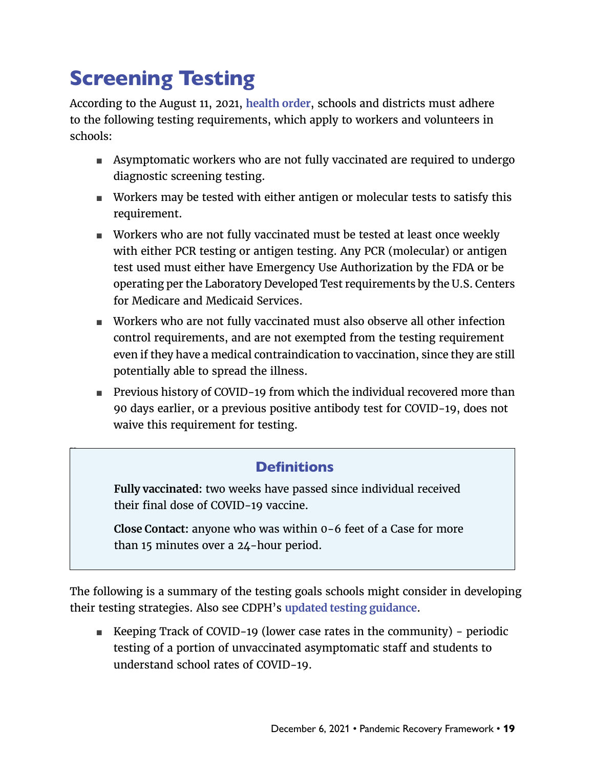# <span id="page-18-1"></span><span id="page-18-0"></span>Screening Testing

x

According to the August 11, 2021, **[health order](https://www.cdph.ca.gov/Programs/CID/DCDC/Pages/COVID-19/Order-of-the-State-Public-Health-Officer-Vaccine-Verification-for-Workers-in-Schools.aspx)**, schools and districts must adhere to the following testing requirements, which apply to workers and volunteers in schools:

- Asymptomatic workers who are not fully vaccinated are required to undergo diagnostic screening testing.
- Workers may be tested with either antigen or molecular tests to satisfy this requirement.
- Workers who are not fully vaccinated must be tested at least once weekly with either PCR testing or antigen testing. Any PCR (molecular) or antigen test used must either have Emergency Use Authorization by the FDA or be operating per the Laboratory Developed Test requirements by the U.S. Centers for Medicare and Medicaid Services.
- Workers who are not fully vaccinated must also observe all other infection control requirements, and are not exempted from the testing requirement even if they have a medical contraindication to vaccination, since they are still potentially able to spread the illness.
- Previous history of COVID-19 from which the individual recovered more than 90 days earlier, or a previous positive antibody test for COVID-19, does not waive this requirement for testing.

#### **Definitions**

**Fully vaccinated:** two weeks have passed since individual received their final dose of COVID-19 vaccine.

**Close Contact:** anyone who was within 0-6 feet of a Case for more than 15 minutes over a 24-hour period.

The following is a summary of the testing goals schools might consider in developing their testing strategies. Also see CDPH's **[updated testing guidance](https://covid19.ca.gov/get-tested/)**.

■ Keeping Track of COVID-19 (lower case rates in the community) – periodic testing of a portion of unvaccinated asymptomatic staff and students to understand school rates of COVID-19.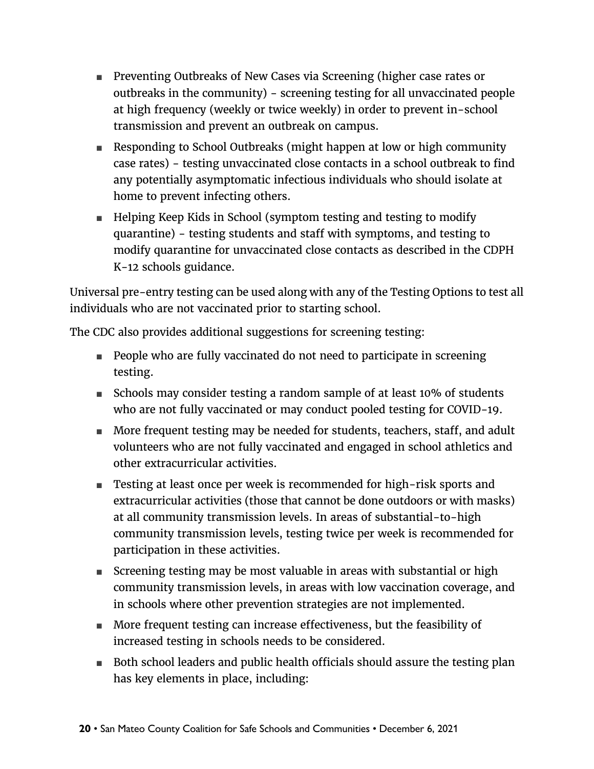- Preventing Outbreaks of New Cases via Screening (higher case rates or outbreaks in the community) - screening testing for all unvaccinated people at high frequency (weekly or twice weekly) in order to prevent in-school transmission and prevent an outbreak on campus.
- Responding to School Outbreaks (might happen at low or high community case rates) - testing unvaccinated close contacts in a school outbreak to find any potentially asymptomatic infectious individuals who should isolate at home to prevent infecting others.
- Helping Keep Kids in School (symptom testing and testing to modify quarantine) - testing students and staff with symptoms, and testing to modify quarantine for unvaccinated close contacts as described in the CDPH K-12 schools guidance.

Universal pre-entry testing can be used along with any of the Testing Options to test all individuals who are not vaccinated prior to starting school.

The CDC also provides additional suggestions for screening testing:

- People who are fully vaccinated do not need to participate in screening testing.
- Schools may consider testing a random sample of at least 10% of students who are not fully vaccinated or may conduct pooled testing for COVID-19.
- More frequent testing may be needed for students, teachers, staff, and adult volunteers who are not fully vaccinated and engaged in school athletics and other extracurricular activities.
- Testing at least once per week is recommended for high-risk sports and extracurricular activities (those that cannot be done outdoors or with masks) at all community transmission levels. In areas of substantial-to-high community transmission levels, testing twice per week is recommended for participation in these activities.
- Screening testing may be most valuable in areas with substantial or high community transmission levels, in areas with low vaccination coverage, and in schools where other prevention strategies are not implemented.
- More frequent testing can increase effectiveness, but the feasibility of increased testing in schools needs to be considered.
- Both school leaders and public health officials should assure the testing plan has key elements in place, including: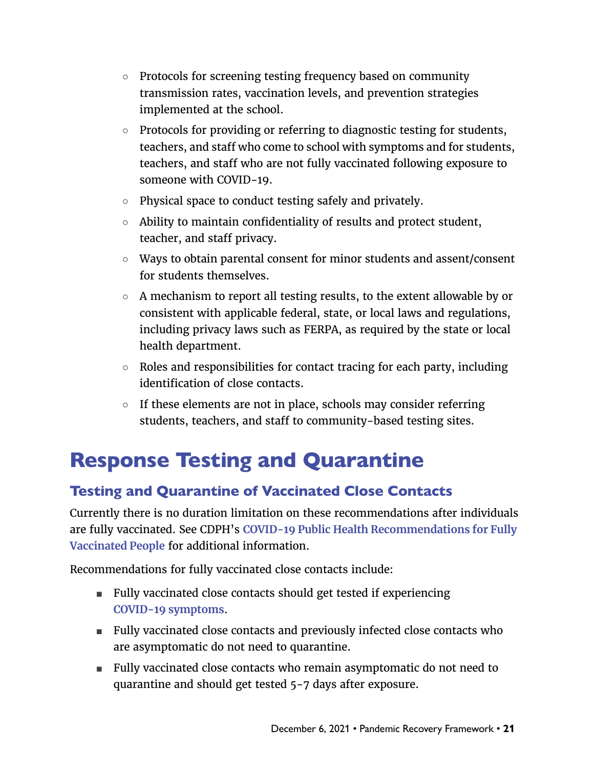- <span id="page-20-0"></span>○ Protocols for screening testing frequency based on community transmission rates, vaccination levels, and prevention strategies implemented at the school.
- Protocols for providing or referring to diagnostic testing for students, teachers, and staff who come to school with symptoms and for students, teachers, and staff who are not fully vaccinated following exposure to someone with COVID-19.
- Physical space to conduct testing safely and privately.
- Ability to maintain confidentiality of results and protect student, teacher, and staff privacy.
- Ways to obtain parental consent for minor students and assent/consent for students themselves.
- A mechanism to report all testing results, to the extent allowable by or consistent with applicable federal, state, or local laws and regulations, including privacy laws such as FERPA, as required by the state or local health department.
- Roles and responsibilities for contact tracing for each party, including identification of close contacts.
- $\circ$  If these elements are not in place, schools may consider referring students, teachers, and staff to community-based testing sites.

### Response Testing and Quarantine

### Testing and Quarantine of Vaccinated Close Contacts

Currently there is no duration limitation on these recommendations after individuals are fully vaccinated. See CDPH's **[COVID-19 Public Health Recommendations for Fully](https://www.cdph.ca.gov/Programs/CID/DCDC/Pages/COVID-19/COVID-19-Public-Health-Recommendations-for-Fully-Vaccinated-People.aspx)  [Vaccinated People](https://www.cdph.ca.gov/Programs/CID/DCDC/Pages/COVID-19/COVID-19-Public-Health-Recommendations-for-Fully-Vaccinated-People.aspx)** for additional information.

Recommendations for fully vaccinated close contacts include:

- Fully vaccinated close contacts should get tested if experiencing **[COVID-19 symptoms](https://www.cdc.gov/coronavirus/2019-ncov/symptoms-testing/symptoms.html)**.
- Fully vaccinated close contacts and previously infected close contacts who are asymptomatic do not need to quarantine.
- Fully vaccinated close contacts who remain asymptomatic do not need to quarantine and should get tested 5-7 days after exposure.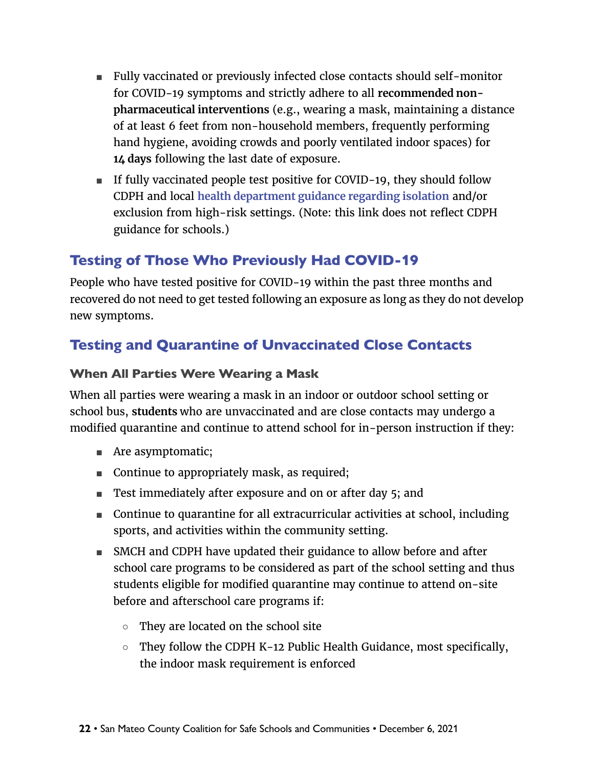- Fully vaccinated or previously infected close contacts should self-monitor for COVID-19 symptoms and strictly adhere to all **recommended nonpharmaceutical interventions** (e.g., wearing a mask, maintaining a distance of at least 6 feet from non-household members, frequently performing hand hygiene, avoiding crowds and poorly ventilated indoor spaces) for **14 days** following the last date of exposure.
- If fully vaccinated people test positive for COVID-19, they should follow CDPH and local **[health department guidance regarding isolation](https://www.cdph.ca.gov/Programs/CID/DCDC/Pages/COVID-19/Guidance-on-Isolation-and-Quarantine-for-COVID-19-Contact-Tracing.aspx)** and/or exclusion from high-risk settings. (Note: this link does not reflect CDPH guidance for schools.)

### Testing of Those Who Previously Had COVID-19

People who have tested positive for COVID-19 within the past three months and recovered do not need to get tested following an exposure as long as they do not develop new symptoms.

#### Testing and Quarantine of Unvaccinated Close Contacts

#### When All Parties Were Wearing a Mask

When all parties were wearing a mask in an indoor or outdoor school setting or school bus, **students** who are unvaccinated and are close contacts may undergo a modified quarantine and continue to attend school for in-person instruction if they:

- Are asymptomatic;
- Continue to appropriately mask, as required;
- Test immediately after exposure and on or after day 5; and
- Continue to quarantine for all extracurricular activities at school, including sports, and activities within the community setting.
- SMCH and CDPH have updated their guidance to allow before and after school care programs to be considered as part of the school setting and thus students eligible for modified quarantine may continue to attend on-site before and afterschool care programs if:
	- They are located on the school site
	- They follow the CDPH K-12 Public Health Guidance, most specifically, the indoor mask requirement is enforced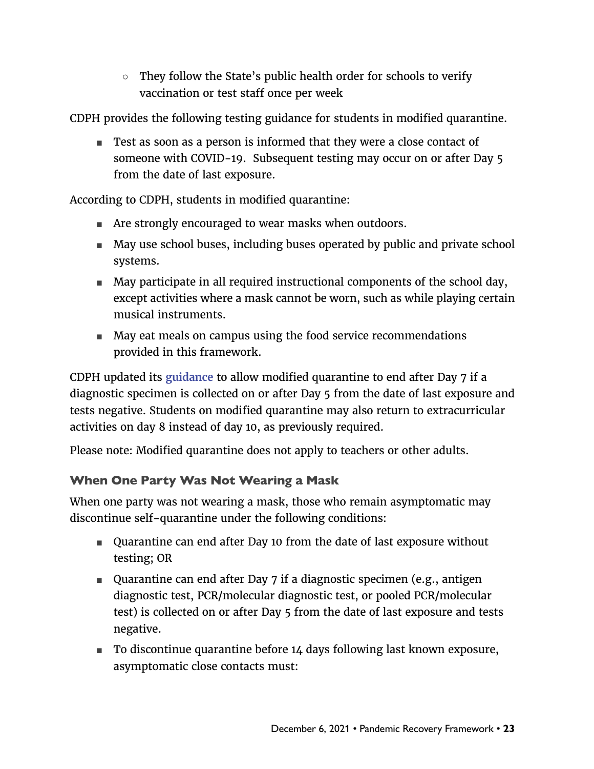$\circ$  They follow the State's public health order for schools to verify vaccination or test staff once per week

CDPH provides the following testing guidance for students in modified quarantine.

■ Test as soon as a person is informed that they were a close contact of someone with COVID-19. Subsequent testing may occur on or after Day 5 from the date of last exposure.

According to CDPH, students in modified quarantine:

- Are strongly encouraged to wear masks when outdoors.
- May use school buses, including buses operated by public and private school systems.
- May participate in all required instructional components of the school day, except activities where a mask cannot be worn, such as while playing certain musical instruments.
- May eat meals on campus using the food service recommendations provided in this framework.

CDPH updated its **[guidance](https://www.cdph.ca.gov/Programs/CID/DCDC/Pages/COVID-19/K-12-Guidance-2021-22-School-Year.aspx)** to allow modified quarantine to end after Day 7 if a diagnostic specimen is collected on or after Day 5 from the date of last exposure and tests negative. Students on modified quarantine may also return to extracurricular activities on day 8 instead of day 10, as previously required.

Please note: Modified quarantine does not apply to teachers or other adults.

#### When One Party Was Not Wearing a Mask

When one party was not wearing a mask, those who remain asymptomatic may discontinue self-quarantine under the following conditions:

- Quarantine can end after Day 10 from the date of last exposure without testing; OR
- Quarantine can end after Day 7 if a diagnostic specimen (e.g., antigen diagnostic test, PCR/molecular diagnostic test, or pooled PCR/molecular test) is collected on or after Day 5 from the date of last exposure and tests negative.
- To discontinue quarantine before 14 days following last known exposure, asymptomatic close contacts must: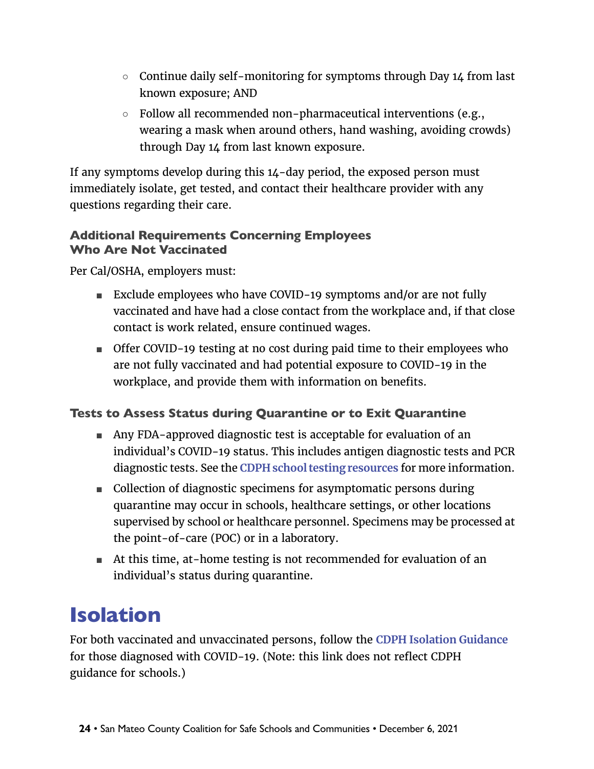- <span id="page-23-0"></span>○ Continue daily self-monitoring for symptoms through Day 14 from last known exposure; AND
- Follow all recommended non-pharmaceutical interventions (e.g., wearing a mask when around others, hand washing, avoiding crowds) through Day 14 from last known exposure.

If any symptoms develop during this 14-day period, the exposed person must immediately isolate, get tested, and contact their healthcare provider with any questions regarding their care.

#### Additional Requirements Concerning Employees Who Are Not Vaccinated

Per Cal/OSHA, employers must:

- Exclude employees who have COVID-19 symptoms and/or are not fully vaccinated and have had a close contact from the workplace and, if that close contact is work related, ensure continued wages.
- Offer COVID-19 testing at no cost during paid time to their employees who are not fully vaccinated and had potential exposure to COVID-19 in the workplace, and provide them with information on benefits.

#### Tests to Assess Status during Quarantine or to Exit Quarantine

- Any FDA-approved diagnostic test is acceptable for evaluation of an individual's COVID-19 status. This includes antigen diagnostic tests and PCR diagnostic tests. See the **[CDPH school testing resources](https://www.cdph.ca.gov/Programs/CID/DCDC/Pages/COVID-19/Updated-COVID-19-Testing-Guidance.aspx?subject=)** for more information.
- Collection of diagnostic specimens for asymptomatic persons during quarantine may occur in schools, healthcare settings, or other locations supervised by school or healthcare personnel. Specimens may be processed at the point-of-care (POC) or in a laboratory.
- At this time, at-home testing is not recommended for evaluation of an individual's status during quarantine.

# Isolation

For both vaccinated and unvaccinated persons, follow the **[CDPH Isolation Guidance](https://www.cdph.ca.gov/Programs/CID/DCDC/Pages/COVID-19/Guidance-on-Isolation-and-Quarantine-for-COVID-19-Contact-Tracing.aspx)** for those diagnosed with COVID-19. (Note: this link does not reflect CDPH guidance for schools.)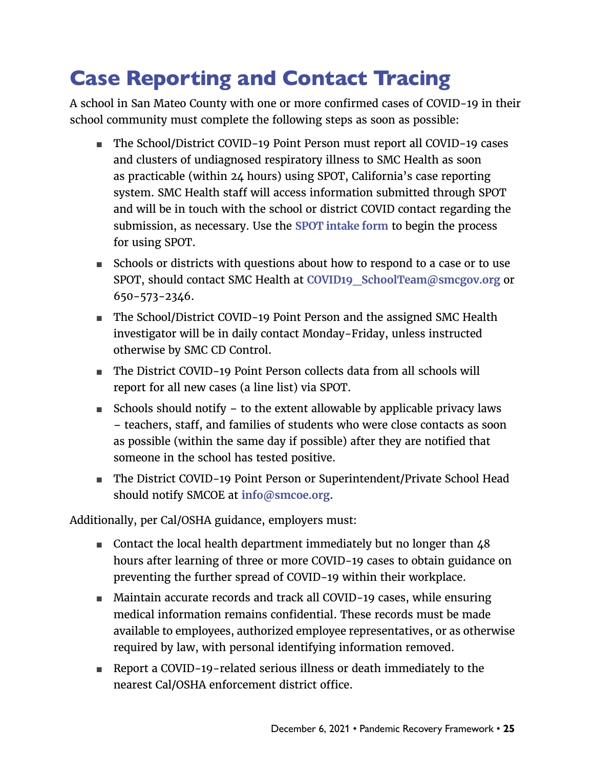# <span id="page-24-0"></span>Case Reporting and Contact Tracing

A school in San Mateo County with one or more confirmed cases of COVID-19 in their school community must complete the following steps as soon as possible:

- The School/District COVID-19 Point Person must report all COVID-19 cases and clusters of undiagnosed respiratory illness to SMC Health as soon as practicable (within 24 hours) using SPOT, California's case reporting system. SMC Health staff will access information submitted through SPOT and will be in touch with the school or district COVID contact regarding the submission, as necessary. Use the **[SPOT intake form](https://spot.cdph.ca.gov/s/IntakeForm?language=en_US)** to begin the process for using SPOT.
- Schools or districts with questions about how to respond to a case or to use SPOT, should contact SMC Health at **[COVID19\\_SchoolTeam@smcgov.org](mailto:COVID19_SchoolTeam%40smcgov.org?subject=)** or 650-573-2346.
- The School/District COVID-19 Point Person and the assigned SMC Health investigator will be in daily contact Monday-Friday, unless instructed otherwise by SMC CD Control.
- The District COVID-19 Point Person collects data from all schools will report for all new cases (a line list) via SPOT.
- Schools should notify  $-$  to the extent allowable by applicable privacy laws – teachers, staff, and families of students who were close contacts as soon as possible (within the same day if possible) after they are notified that someone in the school has tested positive.
- The District COVID-19 Point Person or Superintendent/Private School Head should notify SMCOE at **[info@smcoe.org](mailto:info%40smcoe.org?subject=)**.

Additionally, per Cal/OSHA guidance, employers must:

- Contact the local health department immediately but no longer than 48 hours after learning of three or more COVID-19 cases to obtain guidance on preventing the further spread of COVID-19 within their workplace.
- Maintain accurate records and track all COVID-19 cases, while ensuring medical information remains confidential. These records must be made available to employees, authorized employee representatives, or as otherwise required by law, with personal identifying information removed.
- Report a COVID-19-related serious illness or death immediately to the nearest Cal/OSHA enforcement district office.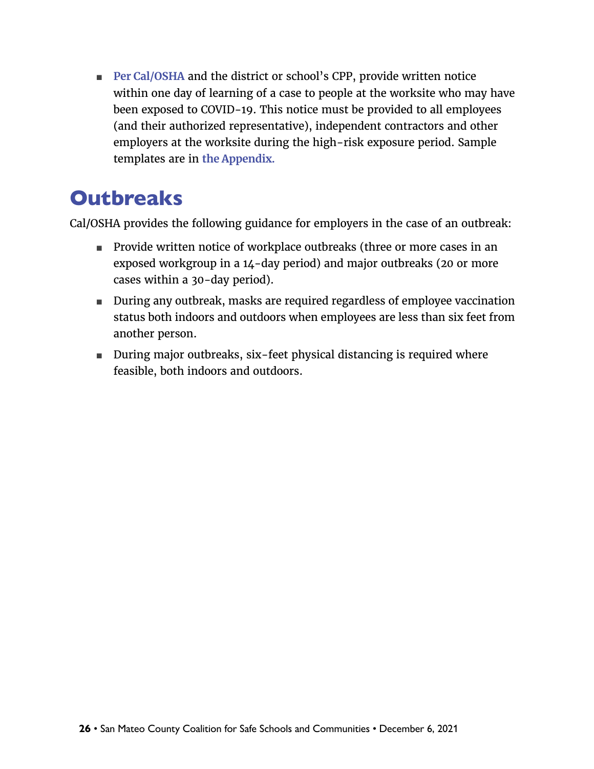<span id="page-25-0"></span>■ **[Per Cal/OSHA](https://www.dir.ca.gov/dosh/dosh_publications/COVIDOnePageFS.pdf)** and the district or school's CPP, provide written notice within one day of learning of a case to people at the worksite who may have been exposed to COVID-19. This notice must be provided to all employees (and their authorized representative), independent contractors and other employers at the worksite during the high-risk exposure period. Sample templates are in **[the Appendix](#page-27-0).**

### **Outbreaks**

Cal/OSHA provides the following guidance for employers in the case of an outbreak:

- Provide written notice of workplace outbreaks (three or more cases in an exposed workgroup in a 14-day period) and major outbreaks (20 or more cases within a 30-day period).
- During any outbreak, masks are required regardless of employee vaccination status both indoors and outdoors when employees are less than six feet from another person.
- During major outbreaks, six-feet physical distancing is required where feasible, both indoors and outdoors.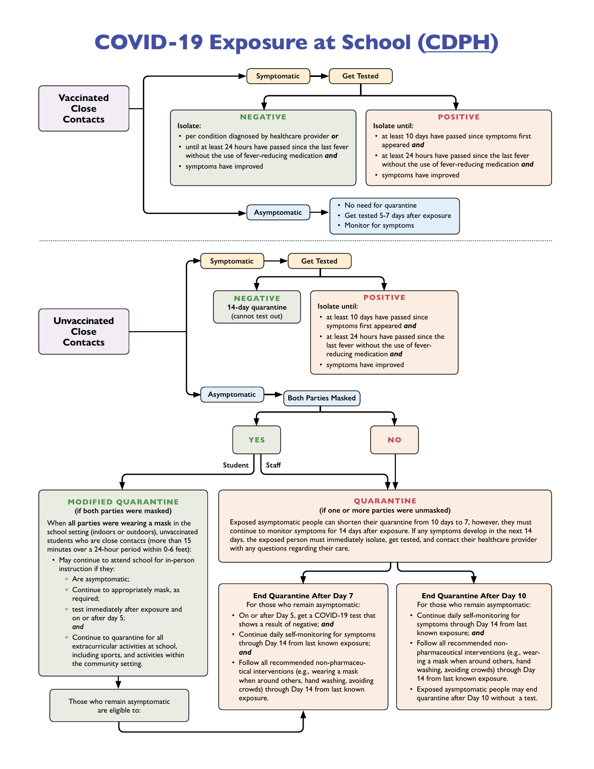# COVID-19 Exposure at School COVID-19 Exposure at School ([CDPH\)](https://www.cdph.ca.gov/Programs/CID/DCDC/Pages/COVID-19/K-12-Guidance-2021-22-School-Year.aspx)